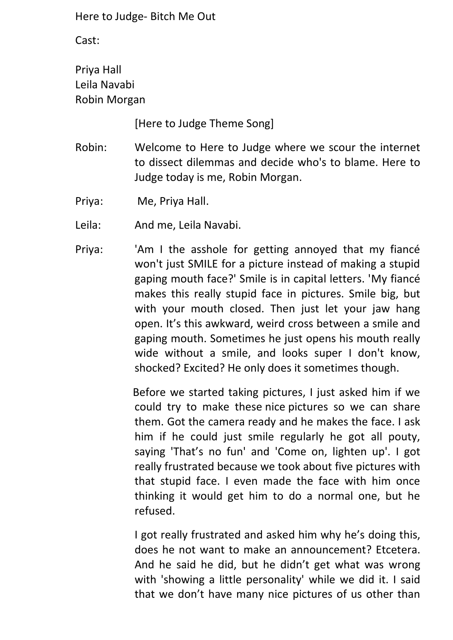Cast:

Priya Hall Leila Navabi Robin Morgan

[Here to Judge Theme Song]

- Robin: Welcome to Here to Judge where we scour the internet to dissect dilemmas and decide who's to blame. Here to Judge today is me, Robin Morgan.
- Priya: Me, Priya Hall.
- Leila: And me, Leila Navabi.
- Priya: 'Am I the asshole for getting annoyed that my fiancé won't just SMILE for a picture instead of making a stupid gaping mouth face?' Smile is in capital letters. 'My fiancé makes this really stupid face in pictures. Smile big, but with your mouth closed. Then just let your jaw hang open. It's this awkward, weird cross between a smile and gaping mouth. Sometimes he just opens his mouth really wide without a smile, and looks super I don't know, shocked? Excited? He only does it sometimes though.

Before we started taking pictures, I just asked him if we could try to make these nice pictures so we can share them. Got the camera ready and he makes the face. I ask him if he could just smile regularly he got all pouty, saying 'That's no fun' and 'Come on, lighten up'. I got really frustrated because we took about five pictures with that stupid face. I even made the face with him once thinking it would get him to do a normal one, but he refused.

I got really frustrated and asked him why he's doing this, does he not want to make an announcement? Etcetera. And he said he did, but he didn't get what was wrong with 'showing a little personality' while we did it. I said that we don't have many nice pictures of us other than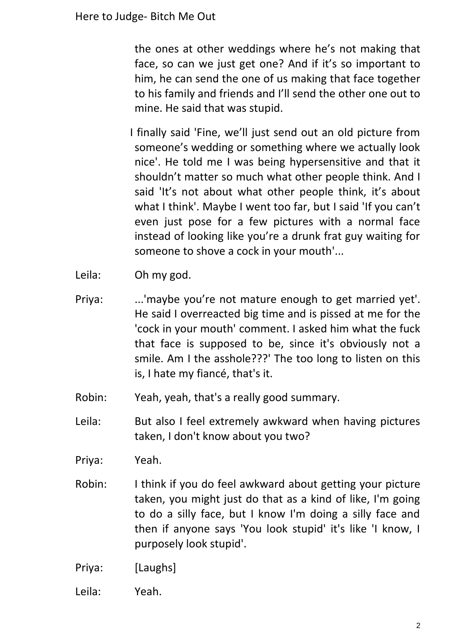the ones at other weddings where he's not making that face, so can we just get one? And if it's so important to him, he can send the one of us making that face together to his family and friends and I'll send the other one out to mine. He said that was stupid.

I finally said 'Fine, we'll just send out an old picture from someone's wedding or something where we actually look nice'. He told me I was being hypersensitive and that it shouldn't matter so much what other people think. And I said 'It's not about what other people think, it's about what I think'. Maybe I went too far, but I said 'If you can't even just pose for a few pictures with a normal face instead of looking like you're a drunk frat guy waiting for someone to shove a cock in your mouth'...

- Leila: Oh my god.
- Priya: ...'maybe you're not mature enough to get married yet'. He said I overreacted big time and is pissed at me for the 'cock in your mouth' comment. I asked him what the fuck that face is supposed to be, since it's obviously not a smile. Am I the asshole???' The too long to listen on this is, I hate my fiancé, that's it.
- Robin: Yeah, yeah, that's a really good summary.
- Leila: But also I feel extremely awkward when having pictures taken, I don't know about you two?

Priya: Yeah.

- Robin: I think if you do feel awkward about getting your picture taken, you might just do that as a kind of like, I'm going to do a silly face, but I know I'm doing a silly face and then if anyone says 'You look stupid' it's like 'I know, I purposely look stupid'.
- Priya: [Laughs]
- Leila: Yeah.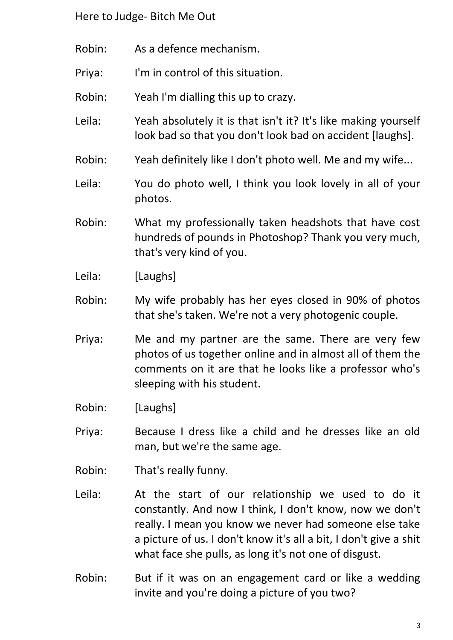- Robin: As a defence mechanism.
- Priya: I'm in control of this situation.
- Robin: Yeah I'm dialling this up to crazy.
- Leila: Yeah absolutely it is that isn't it? It's like making yourself look bad so that you don't look bad on accident [laughs].
- Robin: Yeah definitely like I don't photo well. Me and my wife...
- Leila: You do photo well, I think you look lovely in all of your photos.
- Robin: What my professionally taken headshots that have cost hundreds of pounds in Photoshop? Thank you very much, that's very kind of you.
- Leila: [Laughs]
- Robin: My wife probably has her eyes closed in 90% of photos that she's taken. We're not a very photogenic couple.
- Priya: Me and my partner are the same. There are very few photos of us together online and in almost all of them the comments on it are that he looks like a professor who's sleeping with his student.
- Robin: [Laughs]
- Priya: Because I dress like a child and he dresses like an old man, but we're the same age.
- Robin: That's really funny.
- Leila: At the start of our relationship we used to do it constantly. And now I think, I don't know, now we don't really. I mean you know we never had someone else take a picture of us. I don't know it's all a bit, I don't give a shit what face she pulls, as long it's not one of disgust.
- Robin: But if it was on an engagement card or like a wedding invite and you're doing a picture of you two?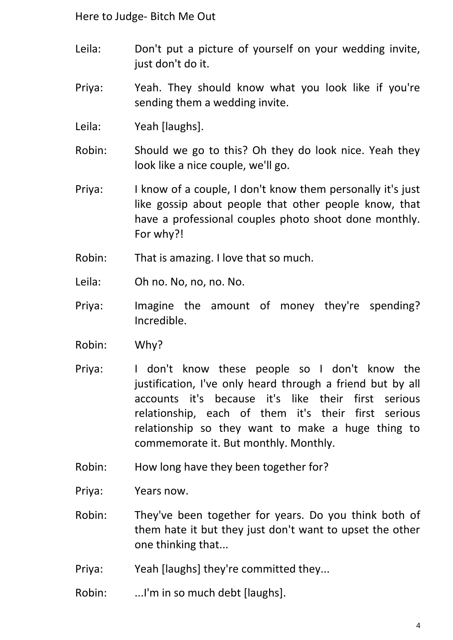- Leila: Don't put a picture of yourself on your wedding invite, just don't do it.
- Priya: Yeah. They should know what you look like if you're sending them a wedding invite.
- Leila: Yeah [laughs].
- Robin: Should we go to this? Oh they do look nice. Yeah they look like a nice couple, we'll go.
- Priya: I know of a couple, I don't know them personally it's just like gossip about people that other people know, that have a professional couples photo shoot done monthly. For why?!
- Robin: That is amazing. I love that so much.
- Leila: Oh no. No, no, no. No.
- Priya: Imagine the amount of money they're spending? Incredible.
- Robin: Why?
- Priya: I don't know these people so I don't know the justification, I've only heard through a friend but by all accounts it's because it's like their first serious relationship, each of them it's their first serious relationship so they want to make a huge thing to commemorate it. But monthly. Monthly.
- Robin: How long have they been together for?
- Priya: Years now.
- Robin: They've been together for years. Do you think both of them hate it but they just don't want to upset the other one thinking that...
- Priya: Yeah [laughs] they're committed they...
- Robin: ... I'm in so much debt [laughs].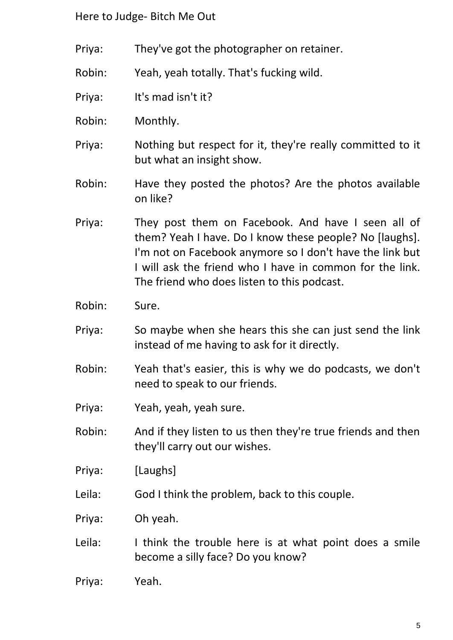- Priya: They've got the photographer on retainer.
- Robin: Yeah, yeah totally. That's fucking wild.
- Priya: It's mad isn't it?
- Robin: Monthly.
- Priya: Nothing but respect for it, they're really committed to it but what an insight show.
- Robin: Have they posted the photos? Are the photos available on like?
- Priya: They post them on Facebook. And have I seen all of them? Yeah I have. Do I know these people? No [laughs]. I'm not on Facebook anymore so I don't have the link but I will ask the friend who I have in common for the link. The friend who does listen to this podcast.
- Robin: Sure.
- Priya: So maybe when she hears this she can just send the link instead of me having to ask for it directly.
- Robin: Yeah that's easier, this is why we do podcasts, we don't need to speak to our friends.
- Priya: Yeah, yeah, yeah sure.
- Robin: And if they listen to us then they're true friends and then they'll carry out our wishes.
- Priya: [Laughs]
- Leila: God I think the problem, back to this couple.
- Priya: Oh yeah.
- Leila: I think the trouble here is at what point does a smile become a silly face? Do you know?
- Priya: Yeah.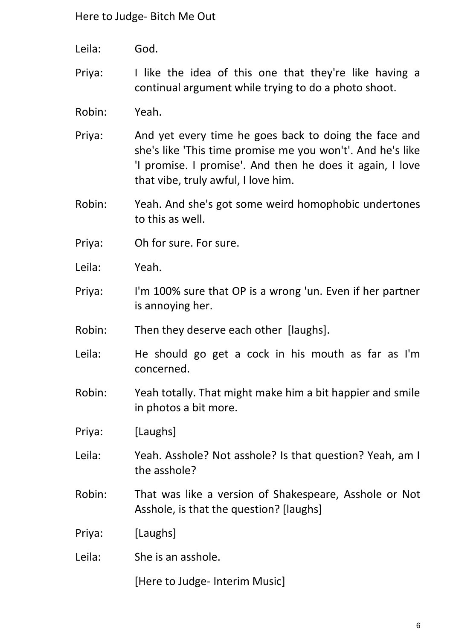- Leila: God.
- Priya: I like the idea of this one that they're like having a continual argument while trying to do a photo shoot.
- Robin: Yeah.
- Priya: And yet every time he goes back to doing the face and she's like 'This time promise me you won't'. And he's like 'I promise. I promise'. And then he does it again, I love that vibe, truly awful, I love him.
- Robin: Yeah. And she's got some weird homophobic undertones to this as well.
- Priya: Oh for sure. For sure.
- Leila: Yeah.
- Priya: I'm 100% sure that OP is a wrong 'un. Even if her partner is annoying her.
- Robin: Then they deserve each other [laughs].
- Leila: He should go get a cock in his mouth as far as I'm concerned.
- Robin: Yeah totally. That might make him a bit happier and smile in photos a bit more.
- Priya: [Laughs]
- Leila: Yeah. Asshole? Not asshole? Is that question? Yeah, am I the asshole?
- Robin: That was like a version of Shakespeare, Asshole or Not Asshole, is that the question? [laughs]
- Priya: [Laughs]
- Leila: She is an asshole.

[Here to Judge- Interim Music]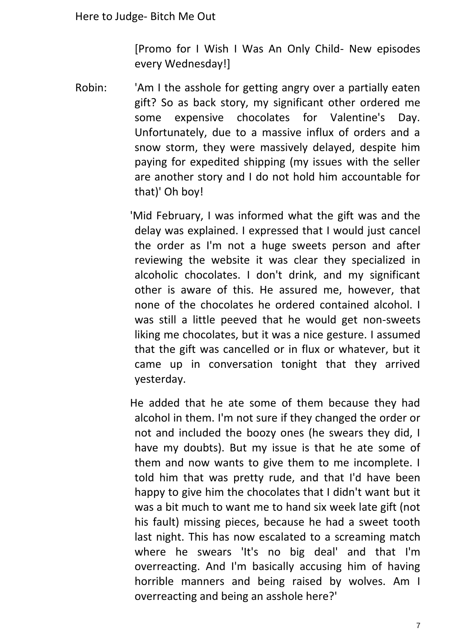[Promo for I Wish I Was An Only Child- New episodes every Wednesday!]

Robin: 'Am I the asshole for getting angry over a partially eaten gift? So as back story, my significant other ordered me some expensive chocolates for Valentine's Day. Unfortunately, due to a massive influx of orders and a snow storm, they were massively delayed, despite him paying for expedited shipping (my issues with the seller are another story and I do not hold him accountable for that)' Oh boy!

> 'Mid February, I was informed what the gift was and the delay was explained. I expressed that I would just cancel the order as I'm not a huge sweets person and after reviewing the website it was clear they specialized in alcoholic chocolates. I don't drink, and my significant other is aware of this. He assured me, however, that none of the chocolates he ordered contained alcohol. I was still a little peeved that he would get non-sweets liking me chocolates, but it was a nice gesture. I assumed that the gift was cancelled or in flux or whatever, but it came up in conversation tonight that they arrived yesterday.

> He added that he ate some of them because they had alcohol in them. I'm not sure if they changed the order or not and included the boozy ones (he swears they did, I have my doubts). But my issue is that he ate some of them and now wants to give them to me incomplete. I told him that was pretty rude, and that I'd have been happy to give him the chocolates that I didn't want but it was a bit much to want me to hand six week late gift (not his fault) missing pieces, because he had a sweet tooth last night. This has now escalated to a screaming match where he swears 'It's no big deal' and that I'm overreacting. And I'm basically accusing him of having horrible manners and being raised by wolves. Am I overreacting and being an asshole here?'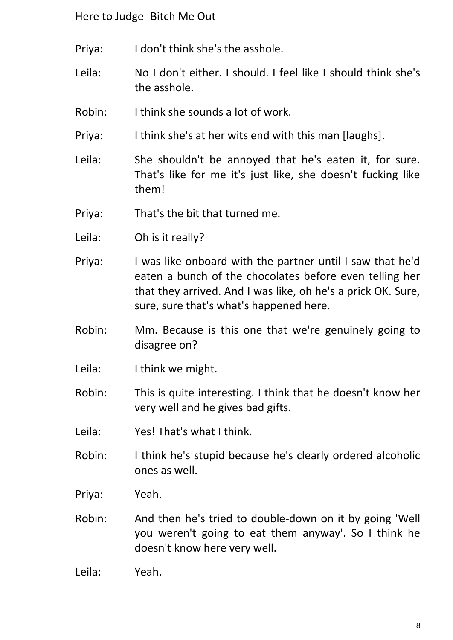- Priya: I don't think she's the asshole.
- Leila: No I don't either. I should. I feel like I should think she's the asshole.
- Robin: I think she sounds a lot of work.
- Priya: I think she's at her wits end with this man [laughs].
- Leila: She shouldn't be annoyed that he's eaten it, for sure. That's like for me it's just like, she doesn't fucking like them!
- Priya: That's the bit that turned me.
- Leila: Oh is it really?
- Priya: I was like onboard with the partner until I saw that he'd eaten a bunch of the chocolates before even telling her that they arrived. And I was like, oh he's a prick OK. Sure, sure, sure that's what's happened here.
- Robin: Mm. Because is this one that we're genuinely going to disagree on?
- Leila: I think we might.
- Robin: This is quite interesting. I think that he doesn't know her very well and he gives bad gifts.
- Leila: Yes! That's what I think.
- Robin: I think he's stupid because he's clearly ordered alcoholic ones as well.
- Priya: Yeah.
- Robin: And then he's tried to double-down on it by going 'Well you weren't going to eat them anyway'. So I think he doesn't know here very well.
- Leila: Yeah.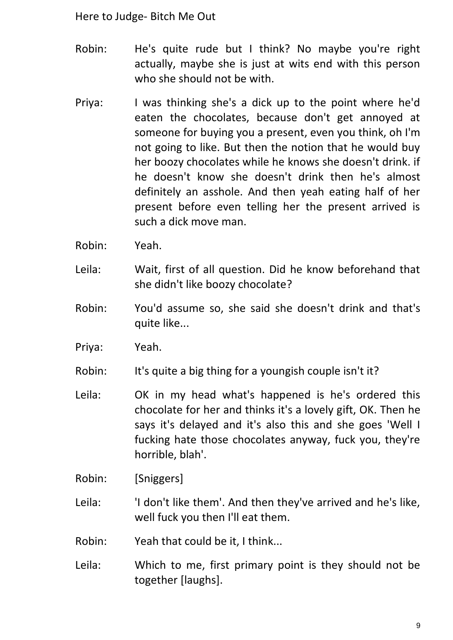- Robin: He's quite rude but I think? No maybe you're right actually, maybe she is just at wits end with this person who she should not be with.
- Priya: I was thinking she's a dick up to the point where he'd eaten the chocolates, because don't get annoyed at someone for buying you a present, even you think, oh I'm not going to like. But then the notion that he would buy her boozy chocolates while he knows she doesn't drink. if he doesn't know she doesn't drink then he's almost definitely an asshole. And then yeah eating half of her present before even telling her the present arrived is such a dick move man.
- Robin: Yeah.
- Leila: Wait, first of all question. Did he know beforehand that she didn't like boozy chocolate?
- Robin: You'd assume so, she said she doesn't drink and that's quite like...
- Priya: Yeah.
- Robin: It's quite a big thing for a youngish couple isn't it?
- Leila: OK in my head what's happened is he's ordered this chocolate for her and thinks it's a lovely gift, OK. Then he says it's delayed and it's also this and she goes 'Well I fucking hate those chocolates anyway, fuck you, they're horrible, blah'.
- Robin: [Sniggers]
- Leila: <sup>'</sup>I don't like them'. And then they've arrived and he's like, well fuck you then I'll eat them.
- Robin: Yeah that could be it, I think...
- Leila: Which to me, first primary point is they should not be together [laughs].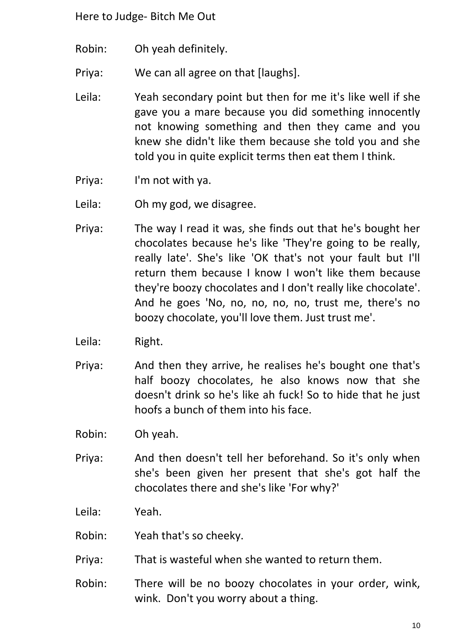- Robin: Oh yeah definitely.
- Priya: We can all agree on that [laughs].
- Leila: Yeah secondary point but then for me it's like well if she gave you a mare because you did something innocently not knowing something and then they came and you knew she didn't like them because she told you and she told you in quite explicit terms then eat them I think.
- Priya: I'm not with ya.
- Leila: Oh my god, we disagree.
- Priya: The way I read it was, she finds out that he's bought her chocolates because he's like 'They're going to be really, really late'. She's like 'OK that's not your fault but I'll return them because I know I won't like them because they're boozy chocolates and I don't really like chocolate'. And he goes 'No, no, no, no, no, trust me, there's no boozy chocolate, you'll love them. Just trust me'.
- Leila: Right.
- Priya: And then they arrive, he realises he's bought one that's half boozy chocolates, he also knows now that she doesn't drink so he's like ah fuck! So to hide that he just hoofs a bunch of them into his face.
- Robin: Oh yeah.
- Priya: And then doesn't tell her beforehand. So it's only when she's been given her present that she's got half the chocolates there and she's like 'For why?'

Leila: Yeah.

- Robin: Yeah that's so cheeky.
- Priya: That is wasteful when she wanted to return them.
- Robin: There will be no boozy chocolates in your order, wink, wink. Don't you worry about a thing.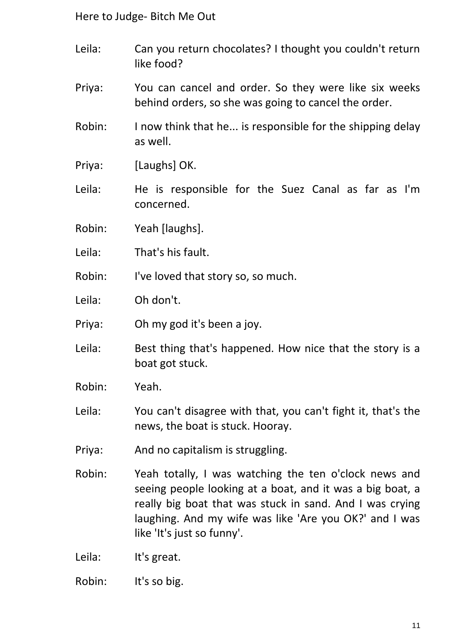- Leila: Can you return chocolates? I thought you couldn't return like food?
- Priya: You can cancel and order. So they were like six weeks behind orders, so she was going to cancel the order.
- Robin: I now think that he... is responsible for the shipping delay as well.
- Priya: [Laughs] OK.
- Leila: He is responsible for the Suez Canal as far as I'm concerned.
- Robin: Yeah [laughs].
- Leila: That's his fault.
- Robin: I've loved that story so, so much.
- Leila: Oh don't.
- Priya: Oh my god it's been a joy.
- Leila: Best thing that's happened. How nice that the story is a boat got stuck.
- Robin: Yeah.
- Leila: You can't disagree with that, you can't fight it, that's the news, the boat is stuck. Hooray.
- Priya: And no capitalism is struggling.
- Robin: Yeah totally, I was watching the ten o'clock news and seeing people looking at a boat, and it was a big boat, a really big boat that was stuck in sand. And I was crying laughing. And my wife was like 'Are you OK?' and I was like 'It's just so funny'.
- Leila: It's great.
- Robin: It's so big.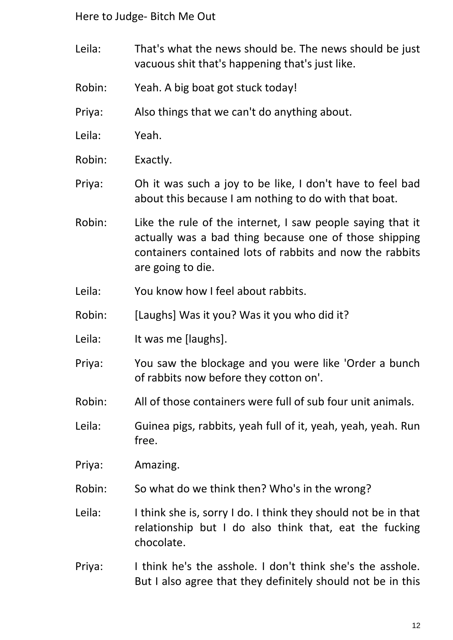- Leila: That's what the news should be. The news should be just vacuous shit that's happening that's just like.
- Robin: Yeah. A big boat got stuck today!
- Priya: Also things that we can't do anything about.
- Leila: Yeah.
- Robin: Exactly.
- Priya: Oh it was such a joy to be like, I don't have to feel bad about this because I am nothing to do with that boat.
- Robin: Like the rule of the internet, I saw people saying that it actually was a bad thing because one of those shipping containers contained lots of rabbits and now the rabbits are going to die.
- Leila: You know how I feel about rabbits.
- Robin: [Laughs] Was it you? Was it you who did it?
- Leila: It was me [laughs].
- Priya: You saw the blockage and you were like 'Order a bunch of rabbits now before they cotton on'.
- Robin: All of those containers were full of sub four unit animals.
- Leila: Guinea pigs, rabbits, yeah full of it, yeah, yeah, yeah. Run free.
- Priya: Amazing.
- Robin: So what do we think then? Who's in the wrong?
- Leila: I think she is, sorry I do. I think they should not be in that relationship but I do also think that, eat the fucking chocolate.
- Priya: I think he's the asshole. I don't think she's the asshole. But I also agree that they definitely should not be in this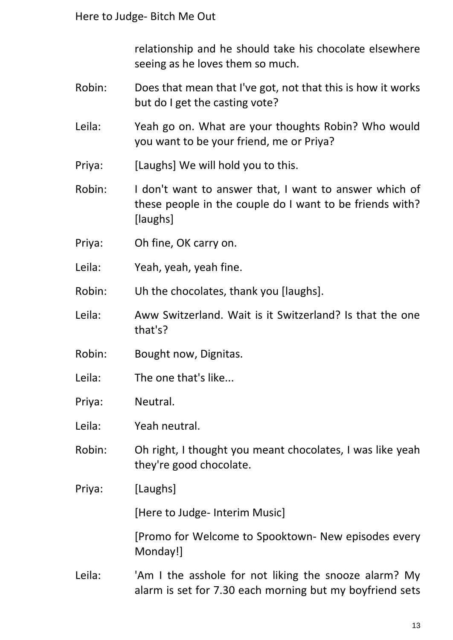relationship and he should take his chocolate elsewhere seeing as he loves them so much.

- Robin: Does that mean that I've got, not that this is how it works but do I get the casting vote?
- Leila: Yeah go on. What are your thoughts Robin? Who would you want to be your friend, me or Priya?
- Priya: [Laughs] We will hold you to this.

Robin: I don't want to answer that, I want to answer which of these people in the couple do I want to be friends with? [laughs]

- Priya: Oh fine, OK carry on.
- Leila: Yeah, yeah, yeah fine.
- Robin: Uh the chocolates, thank you [laughs].
- Leila: Aww Switzerland. Wait is it Switzerland? Is that the one that's?
- Robin: Bought now, Dignitas.
- Leila: The one that's like...
- Priya: Neutral.
- Leila: Yeah neutral.
- Robin: Oh right, I thought you meant chocolates, I was like yeah they're good chocolate.
- Priya: [Laughs]

[Here to Judge- Interim Music]

[Promo for Welcome to Spooktown- New episodes every Monday!]

Leila: 'Am I the asshole for not liking the snooze alarm? My alarm is set for 7.30 each morning but my boyfriend sets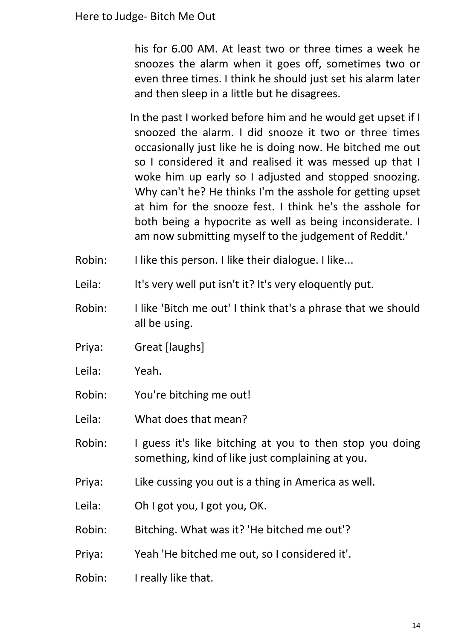his for 6.00 AM. At least two or three times a week he snoozes the alarm when it goes off, sometimes two or even three times. I think he should just set his alarm later and then sleep in a little but he disagrees.

In the past I worked before him and he would get upset if I snoozed the alarm. I did snooze it two or three times occasionally just like he is doing now. He bitched me out so I considered it and realised it was messed up that I woke him up early so I adjusted and stopped snoozing. Why can't he? He thinks I'm the asshole for getting upset at him for the snooze fest. I think he's the asshole for both being a hypocrite as well as being inconsiderate. I am now submitting myself to the judgement of Reddit.'

- Robin: I like this person. I like their dialogue. I like...
- Leila: It's very well put isn't it? It's very eloquently put.
- Robin: I like 'Bitch me out' I think that's a phrase that we should all be using.
- Priya: Great [laughs]
- Leila: Yeah.
- Robin: You're bitching me out!
- Leila: What does that mean?
- Robin: I guess it's like bitching at you to then stop you doing something, kind of like just complaining at you.
- Priya: Like cussing you out is a thing in America as well.
- Leila: Oh I got you, I got you, OK.
- Robin: Bitching. What was it? 'He bitched me out'?
- Priya: Yeah 'He bitched me out, so I considered it'.
- Robin: I really like that.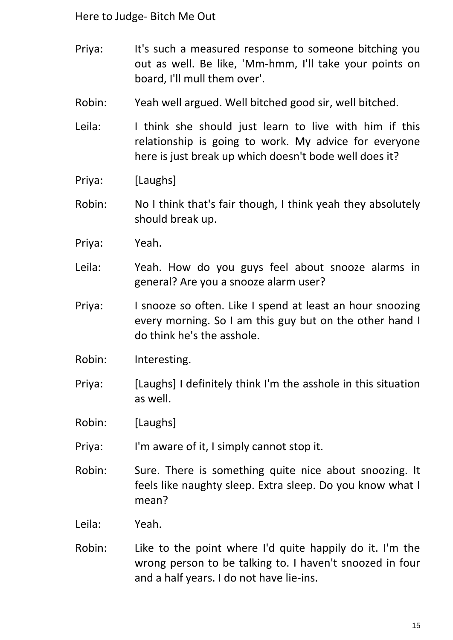- Priya: It's such a measured response to someone bitching you out as well. Be like, 'Mm-hmm, I'll take your points on board, I'll mull them over'.
- Robin: Yeah well argued. Well bitched good sir, well bitched.
- Leila: I think she should just learn to live with him if this relationship is going to work. My advice for everyone here is just break up which doesn't bode well does it?
- Priya: [Laughs]
- Robin: No I think that's fair though, I think yeah they absolutely should break up.
- Priya: Yeah.
- Leila: Yeah. How do you guys feel about snooze alarms in general? Are you a snooze alarm user?
- Priya: I snooze so often. Like I spend at least an hour snoozing every morning. So I am this guy but on the other hand I do think he's the asshole.
- Robin: Interesting.
- Priya: [Laughs] I definitely think I'm the asshole in this situation as well.
- Robin: [Laughs]
- Priya: I'm aware of it, I simply cannot stop it.
- Robin: Sure. There is something quite nice about snoozing. It feels like naughty sleep. Extra sleep. Do you know what I mean?
- Leila: Yeah.
- Robin: Like to the point where I'd quite happily do it. I'm the wrong person to be talking to. I haven't snoozed in four and a half years. I do not have lie-ins.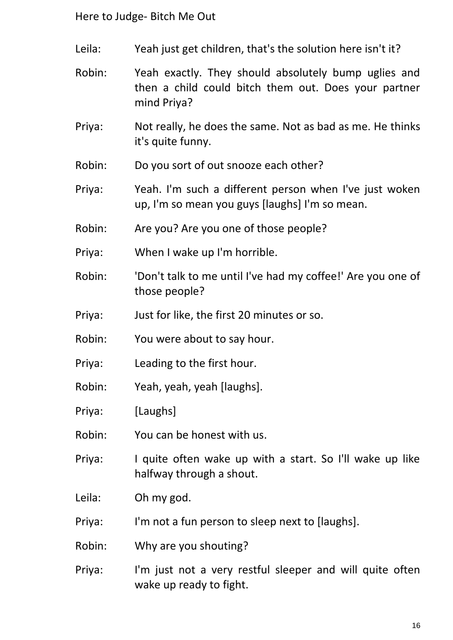- Leila: Yeah just get children, that's the solution here isn't it?
- Robin: Yeah exactly. They should absolutely bump uglies and then a child could bitch them out. Does your partner mind Priya?
- Priya: Not really, he does the same. Not as bad as me. He thinks it's quite funny.
- Robin: Do you sort of out snooze each other?
- Priya: Yeah. I'm such a different person when I've just woken up, I'm so mean you guys [laughs] I'm so mean.
- Robin: Are you? Are you one of those people?
- Priya: When I wake up I'm horrible.
- Robin: 'Don't talk to me until I've had my coffee!' Are you one of those people?
- Priya: Just for like, the first 20 minutes or so.
- Robin: You were about to say hour.
- Priya: Leading to the first hour.
- Robin: Yeah, yeah, yeah [laughs].
- Priya: [Laughs]
- Robin: You can be honest with us.
- Priya: I quite often wake up with a start. So I'll wake up like halfway through a shout.
- Leila: Oh my god.
- Priya: I'm not a fun person to sleep next to [laughs].
- Robin: Why are you shouting?
- Priya: I'm just not a very restful sleeper and will quite often wake up ready to fight.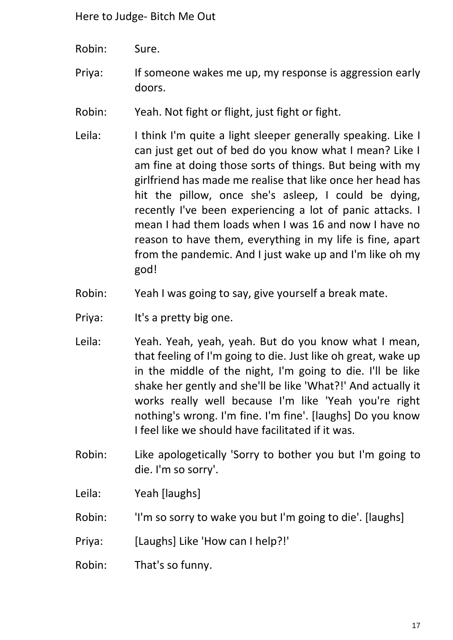- Robin: Sure.
- Priya: If someone wakes me up, my response is aggression early doors.
- Robin: Yeah. Not fight or flight, just fight or fight.
- Leila: I think I'm quite a light sleeper generally speaking. Like I can just get out of bed do you know what I mean? Like I am fine at doing those sorts of things. But being with my girlfriend has made me realise that like once her head has hit the pillow, once she's asleep, I could be dying, recently I've been experiencing a lot of panic attacks. I mean I had them loads when I was 16 and now I have no reason to have them, everything in my life is fine, apart from the pandemic. And I just wake up and I'm like oh my god!
- Robin: Yeah I was going to say, give yourself a break mate.
- Priya: It's a pretty big one.
- Leila: Yeah. Yeah, yeah, yeah. But do you know what I mean, that feeling of I'm going to die. Just like oh great, wake up in the middle of the night, I'm going to die. I'll be like shake her gently and she'll be like 'What?!' And actually it works really well because I'm like 'Yeah you're right nothing's wrong. I'm fine. I'm fine'. [laughs] Do you know I feel like we should have facilitated if it was.
- Robin: Like apologetically 'Sorry to bother you but I'm going to die. I'm so sorry'.
- Leila: Yeah [laughs]
- Robin: 'I'm so sorry to wake you but I'm going to die'. [laughs]
- Priya: [Laughs] Like 'How can I help?!'
- Robin: That's so funny.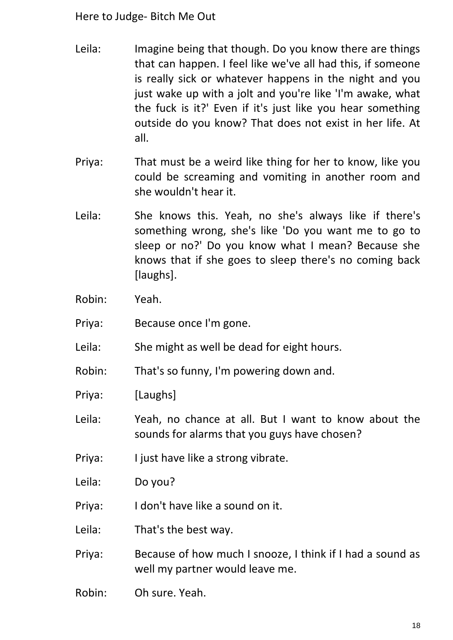- Leila: Imagine being that though. Do you know there are things that can happen. I feel like we've all had this, if someone is really sick or whatever happens in the night and you just wake up with a jolt and you're like 'I'm awake, what the fuck is it?' Even if it's just like you hear something outside do you know? That does not exist in her life. At all.
- Priya: That must be a weird like thing for her to know, like you could be screaming and vomiting in another room and she wouldn't hear it.
- Leila: She knows this. Yeah, no she's always like if there's something wrong, she's like 'Do you want me to go to sleep or no?' Do you know what I mean? Because she knows that if she goes to sleep there's no coming back [laughs].
- Robin: Yeah.
- Priya: Because once I'm gone.
- Leila: She might as well be dead for eight hours.
- Robin: That's so funny, I'm powering down and.
- Priya: [Laughs]
- Leila: Yeah, no chance at all. But I want to know about the sounds for alarms that you guys have chosen?
- Priya: I just have like a strong vibrate.
- Leila: Do you?
- Priya: I don't have like a sound on it.
- Leila: That's the best way.
- Priya: Because of how much I snooze, I think if I had a sound as well my partner would leave me.
- Robin: Oh sure. Yeah.